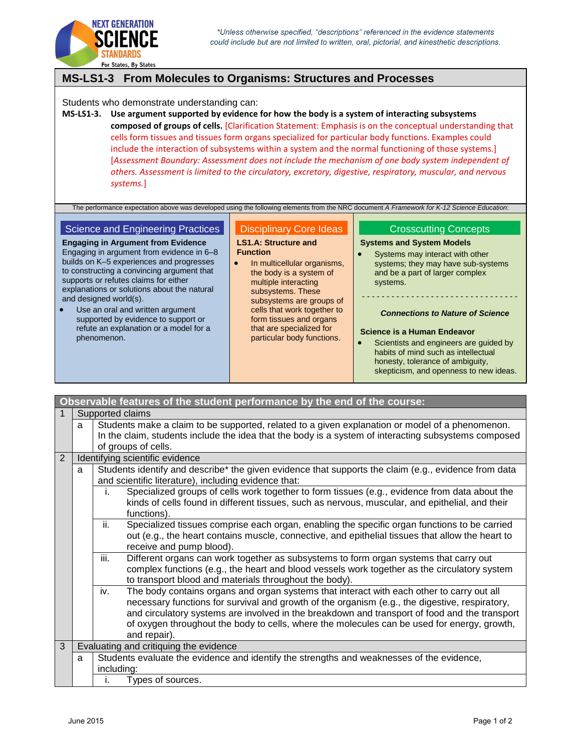

# **MS-LS1-3 From Molecules to Organisms: Structures and Processes**

Students who demonstrate understanding can:

**MS-LS1-3. Use argument supported by evidence for how the body is a system of interacting subsystems composed of groups of cells.** [Clarification Statement: Emphasis is on the conceptual understanding that cells form tissues and tissues form organs specialized for particular body functions. Examples could include the interaction of subsystems within a system and the normal functioning of those systems.] [*Assessment Boundary: Assessment does not include the mechanism of one body system independent of others. Assessment is limited to the circulatory, excretory, digestive, respiratory, muscular, and nervous systems.*]

The performance expectation above was developed using the following elements from the NRC document *A Framework for K-12 Science Education*:

### Science and Engineering Practices

**Engaging in Argument from Evidence** Engaging in argument from evidence in 6–8 builds on K–5 experiences and progresses to constructing a convincing argument that supports or refutes claims for either explanations or solutions about the natural and designed world(s).

 Use an oral and written argument supported by evidence to support or refute an explanation or a model for a phenomenon.

### Disciplinary Core Ideas

#### **LS1.A: Structure and Function**

• In multicellular organisms, the body is a system of multiple interacting subsystems. These subsystems are groups of cells that work together to form tissues and organs that are specialized for particular body functions.

# Crosscutting Concepts

# **Systems and System Models**

 Systems may interact with other systems; they may have sub-systems and be a part of larger complex systems.

# - - - - - - - - - - - - - - - - - - - - - - - - - - - - - - - - *Connections to Nature of Science*

### **Science is a Human Endeavor**

 Scientists and engineers are guided by habits of mind such as intellectual honesty, tolerance of ambiguity, skepticism, and openness to new ideas.

| Observable features of the student performance by the end of the course: |                                                                                                |                                                                                                                                                                                                                                                                                                                                                                                                                    |  |  |  |
|--------------------------------------------------------------------------|------------------------------------------------------------------------------------------------|--------------------------------------------------------------------------------------------------------------------------------------------------------------------------------------------------------------------------------------------------------------------------------------------------------------------------------------------------------------------------------------------------------------------|--|--|--|
| 1                                                                        | Supported claims                                                                               |                                                                                                                                                                                                                                                                                                                                                                                                                    |  |  |  |
|                                                                          | a                                                                                              | Students make a claim to be supported, related to a given explanation or model of a phenomenon.                                                                                                                                                                                                                                                                                                                    |  |  |  |
|                                                                          |                                                                                                | In the claim, students include the idea that the body is a system of interacting subsystems composed                                                                                                                                                                                                                                                                                                               |  |  |  |
|                                                                          |                                                                                                | of groups of cells.                                                                                                                                                                                                                                                                                                                                                                                                |  |  |  |
| $\overline{2}$                                                           | Identifying scientific evidence                                                                |                                                                                                                                                                                                                                                                                                                                                                                                                    |  |  |  |
|                                                                          | a                                                                                              | Students identify and describe* the given evidence that supports the claim (e.g., evidence from data<br>and scientific literature), including evidence that:                                                                                                                                                                                                                                                       |  |  |  |
|                                                                          |                                                                                                | Specialized groups of cells work together to form tissues (e.g., evidence from data about the<br>İ.<br>kinds of cells found in different tissues, such as nervous, muscular, and epithelial, and their<br>functions).                                                                                                                                                                                              |  |  |  |
|                                                                          |                                                                                                | ii.<br>Specialized tissues comprise each organ, enabling the specific organ functions to be carried<br>out (e.g., the heart contains muscle, connective, and epithelial tissues that allow the heart to<br>receive and pump blood).                                                                                                                                                                                |  |  |  |
|                                                                          |                                                                                                | iii.<br>Different organs can work together as subsystems to form organ systems that carry out<br>complex functions (e.g., the heart and blood vessels work together as the circulatory system<br>to transport blood and materials throughout the body).                                                                                                                                                            |  |  |  |
|                                                                          |                                                                                                | iv.<br>The body contains organs and organ systems that interact with each other to carry out all<br>necessary functions for survival and growth of the organism (e.g., the digestive, respiratory,<br>and circulatory systems are involved in the breakdown and transport of food and the transport<br>of oxygen throughout the body to cells, where the molecules can be used for energy, growth,<br>and repair). |  |  |  |
| 3                                                                        |                                                                                                | Evaluating and critiquing the evidence                                                                                                                                                                                                                                                                                                                                                                             |  |  |  |
|                                                                          | Students evaluate the evidence and identify the strengths and weaknesses of the evidence,<br>a |                                                                                                                                                                                                                                                                                                                                                                                                                    |  |  |  |
|                                                                          |                                                                                                | including:                                                                                                                                                                                                                                                                                                                                                                                                         |  |  |  |
|                                                                          |                                                                                                | Types of sources.<br>İ.                                                                                                                                                                                                                                                                                                                                                                                            |  |  |  |